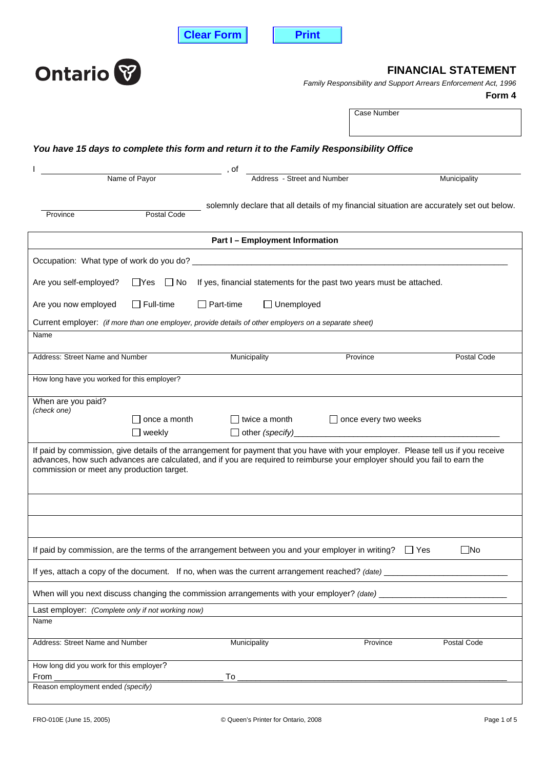**Clear Form Print** 



| <b>Ontario</b> <sup>8</sup>                                                                                                                                                                                                                                                                                   |                               | <b>FINANCIAL STATEMENT</b>                                                                |  |                             |                                                                           |  |  |
|---------------------------------------------------------------------------------------------------------------------------------------------------------------------------------------------------------------------------------------------------------------------------------------------------------------|-------------------------------|-------------------------------------------------------------------------------------------|--|-----------------------------|---------------------------------------------------------------------------|--|--|
|                                                                                                                                                                                                                                                                                                               |                               |                                                                                           |  |                             | Family Responsibility and Support Arrears Enforcement Act, 1996<br>Form 4 |  |  |
|                                                                                                                                                                                                                                                                                                               |                               |                                                                                           |  | Case Number                 |                                                                           |  |  |
|                                                                                                                                                                                                                                                                                                               |                               | You have 15 days to complete this form and return it to the Family Responsibility Office  |  |                             |                                                                           |  |  |
|                                                                                                                                                                                                                                                                                                               | Name of Payor                 | $-$ , of<br>Address - Street and Number                                                   |  |                             | Municipality                                                              |  |  |
|                                                                                                                                                                                                                                                                                                               |                               |                                                                                           |  |                             |                                                                           |  |  |
| Province                                                                                                                                                                                                                                                                                                      | Postal Code                   | solemnly declare that all details of my financial situation are accurately set out below. |  |                             |                                                                           |  |  |
|                                                                                                                                                                                                                                                                                                               |                               | <b>Part I-Employment Information</b>                                                      |  |                             |                                                                           |  |  |
|                                                                                                                                                                                                                                                                                                               |                               |                                                                                           |  |                             |                                                                           |  |  |
| Are you self-employed?                                                                                                                                                                                                                                                                                        | $\Box$ Yes $\Box$ No          | If yes, financial statements for the past two years must be attached.                     |  |                             |                                                                           |  |  |
| Are you now employed                                                                                                                                                                                                                                                                                          | $\Box$ Full-time              | $\Box$ Part-time<br>$\Box$ Unemployed                                                     |  |                             |                                                                           |  |  |
| Current employer: (if more than one employer, provide details of other employers on a separate sheet)                                                                                                                                                                                                         |                               |                                                                                           |  |                             |                                                                           |  |  |
| Name                                                                                                                                                                                                                                                                                                          |                               |                                                                                           |  |                             |                                                                           |  |  |
| Address: Street Name and Number                                                                                                                                                                                                                                                                               |                               | Municipality                                                                              |  | Province                    | Postal Code                                                               |  |  |
| How long have you worked for this employer?                                                                                                                                                                                                                                                                   |                               |                                                                                           |  |                             |                                                                           |  |  |
| When are you paid?<br>(check one)                                                                                                                                                                                                                                                                             |                               |                                                                                           |  |                             |                                                                           |  |  |
|                                                                                                                                                                                                                                                                                                               | once a month<br>$\Box$ weekly | ∃ twice a month<br>$\Box$ other (specify)                                                 |  | $\Box$ once every two weeks |                                                                           |  |  |
| If paid by commission, give details of the arrangement for payment that you have with your employer. Please tell us if you receive<br>advances, how such advances are calculated, and if you are required to reimburse your employer should you fail to earn the<br>commission or meet any production target. |                               |                                                                                           |  |                             |                                                                           |  |  |
|                                                                                                                                                                                                                                                                                                               |                               |                                                                                           |  |                             |                                                                           |  |  |
|                                                                                                                                                                                                                                                                                                               |                               |                                                                                           |  |                             |                                                                           |  |  |
| If paid by commission, are the terms of the arrangement between you and your employer in writing?                                                                                                                                                                                                             |                               |                                                                                           |  | IIYes                       | $\square$ No                                                              |  |  |
| If yes, attach a copy of the document. If no, when was the current arrangement reached? (date) _                                                                                                                                                                                                              |                               |                                                                                           |  |                             |                                                                           |  |  |
| When will you next discuss changing the commission arrangements with your employer? (date)                                                                                                                                                                                                                    |                               |                                                                                           |  |                             |                                                                           |  |  |
| Last employer: (Complete only if not working now)                                                                                                                                                                                                                                                             |                               |                                                                                           |  |                             |                                                                           |  |  |
| Name                                                                                                                                                                                                                                                                                                          |                               |                                                                                           |  |                             |                                                                           |  |  |
| Address: Street Name and Number                                                                                                                                                                                                                                                                               |                               | Municipality                                                                              |  | Province                    | Postal Code                                                               |  |  |
| How long did you work for this employer?<br>From                                                                                                                                                                                                                                                              |                               | To                                                                                        |  |                             |                                                                           |  |  |
| Reason employment ended (specify)                                                                                                                                                                                                                                                                             |                               |                                                                                           |  |                             |                                                                           |  |  |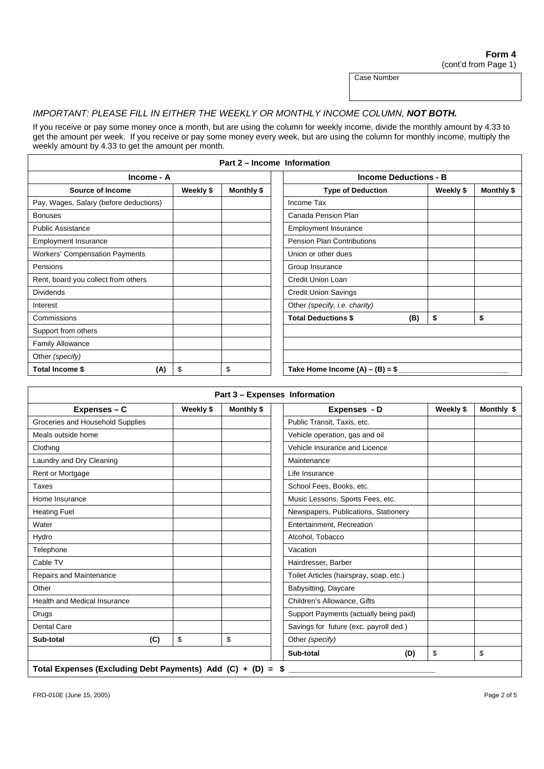Case Number

## IMPORTANT: PLEASE FILL IN EITHER THE WEEKLY OR MONTHLY INCOME COLUMN, **NOT BOTH.**

If you receive or pay some money once a month, but are using the column for weekly income, divide the monthly amount by 4.33 to get the amount per week. If you receive or pay some money every week, but are using the column for monthly income, multiply the weekly amount by 4.33 to get the amount per month.

| Part 2 – Income Information            |  |            |                                   |           |            |  |
|----------------------------------------|--|------------|-----------------------------------|-----------|------------|--|
| Income - A                             |  |            | <b>Income Deductions - B</b>      |           |            |  |
| Weekly \$<br>Source of Income          |  | Monthly \$ | <b>Type of Deduction</b>          | Weekly \$ | Monthly \$ |  |
| Pay, Wages, Salary (before deductions) |  |            | Income Tax                        |           |            |  |
| <b>Bonuses</b>                         |  |            | Canada Pension Plan               |           |            |  |
| <b>Public Assistance</b>               |  |            | <b>Employment Insurance</b>       |           |            |  |
| <b>Employment Insurance</b>            |  |            | <b>Pension Plan Contributions</b> |           |            |  |
| <b>Workers' Compensation Payments</b>  |  |            | Union or other dues               |           |            |  |
| Pensions                               |  |            | Group Insurance                   |           |            |  |
| Rent, board you collect from others    |  |            | <b>Credit Union Loan</b>          |           |            |  |
| <b>Dividends</b>                       |  |            | <b>Credit Union Savings</b>       |           |            |  |
| Interest                               |  |            | Other (specify, i.e. charity)     |           |            |  |
| Commissions                            |  |            | <b>Total Deductions \$</b><br>(B) | \$        | \$         |  |
| Support from others                    |  |            |                                   |           |            |  |
| <b>Family Allowance</b>                |  |            |                                   |           |            |  |
| Other (specify)                        |  |            |                                   |           |            |  |
| \$<br>\$<br>Total Income \$<br>(A)     |  |            | Take Home Income $(A) - (B) = $$  |           |            |  |

| Expenses - C                        |     | Weekly \$ | Monthly \$ | Expenses - D                            | Weekly \$ | Monthly \$ |
|-------------------------------------|-----|-----------|------------|-----------------------------------------|-----------|------------|
| Groceries and Household Supplies    |     |           |            | Public Transit, Taxis, etc.             |           |            |
| Meals outside home                  |     |           |            | Vehicle operation, gas and oil          |           |            |
| Clothing                            |     |           |            | Vehicle Insurance and Licence           |           |            |
| Laundry and Dry Cleaning            |     |           |            | Maintenance                             |           |            |
| Rent or Mortgage                    |     |           |            | Life Insurance                          |           |            |
| Taxes                               |     |           |            | School Fees, Books, etc.                |           |            |
| Home Insurance                      |     |           |            | Music Lessons, Sports Fees, etc.        |           |            |
| <b>Heating Fuel</b>                 |     |           |            | Newspapers, Publications, Stationery    |           |            |
| Water                               |     |           |            | Entertainment, Recreation               |           |            |
| Hydro                               |     |           |            | Alcohol, Tobacco                        |           |            |
| Telephone                           |     |           |            | Vacation                                |           |            |
| Cable TV                            |     |           |            | Hairdresser, Barber                     |           |            |
| Repairs and Maintenance             |     |           |            | Toilet Articles (hairspray, soap, etc.) |           |            |
| Other                               |     |           |            | Babysitting, Daycare                    |           |            |
| <b>Health and Medical Insurance</b> |     |           |            | Children's Allowance, Gifts             |           |            |
| Drugs                               |     |           |            | Support Payments (actually being paid)  |           |            |
| <b>Dental Care</b>                  |     |           |            | Savings for future (exc. payroll ded.)  |           |            |
| Sub-total                           | (C) | \$        | \$         | Other (specify)                         |           |            |
|                                     |     |           |            | Sub-total<br>(D)                        | \$        | \$         |

Total Expenses (Excluding Debt Payments) Add (C) + (D) = \$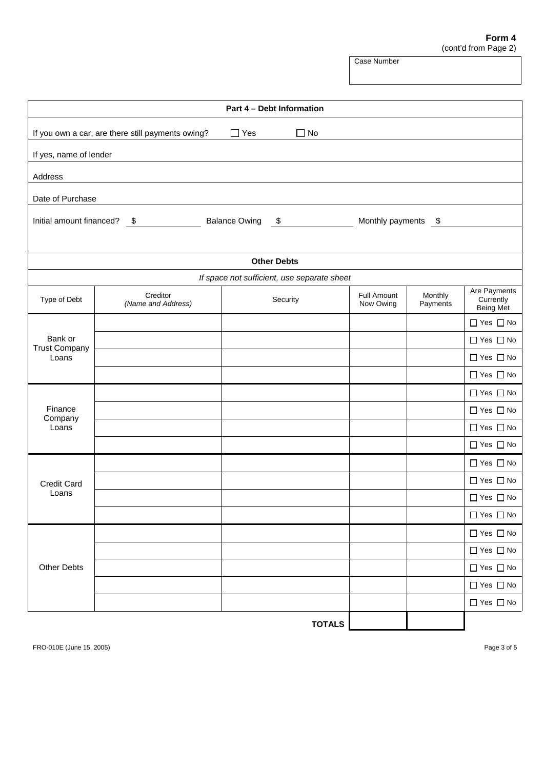## **Form 4** (cont'd from Page 2)

Case Number

| Part 4 - Debt Information                                                                                |                                |                                             |                                 |                     |                                        |  |  |
|----------------------------------------------------------------------------------------------------------|--------------------------------|---------------------------------------------|---------------------------------|---------------------|----------------------------------------|--|--|
| $\Box$ Yes<br>If you own a car, are there still payments owing?<br>$\Box$ No                             |                                |                                             |                                 |                     |                                        |  |  |
| If yes, name of lender                                                                                   |                                |                                             |                                 |                     |                                        |  |  |
| Address                                                                                                  |                                |                                             |                                 |                     |                                        |  |  |
| Date of Purchase                                                                                         |                                |                                             |                                 |                     |                                        |  |  |
| Initial amount financed? $\frac{\$}{\$}$<br>Monthly payments \$<br><b>Balance Owing</b><br>$\frac{1}{2}$ |                                |                                             |                                 |                     |                                        |  |  |
|                                                                                                          |                                | <b>Other Debts</b>                          |                                 |                     |                                        |  |  |
|                                                                                                          |                                | If space not sufficient, use separate sheet |                                 |                     |                                        |  |  |
| Type of Debt                                                                                             | Creditor<br>(Name and Address) | Security                                    | <b>Full Amount</b><br>Now Owing | Monthly<br>Payments | Are Payments<br>Currently<br>Being Met |  |  |
|                                                                                                          |                                |                                             |                                 |                     | $\Box$ Yes $\Box$ No                   |  |  |
| Bank or<br><b>Trust Company</b>                                                                          |                                |                                             |                                 |                     | $\Box$ Yes $\Box$ No                   |  |  |
| Loans                                                                                                    |                                |                                             |                                 |                     | $\Box$ Yes $\Box$ No                   |  |  |
|                                                                                                          |                                |                                             |                                 |                     | $\Box$ Yes $\Box$ No                   |  |  |
|                                                                                                          |                                |                                             |                                 |                     | $\Box$ Yes $\Box$ No                   |  |  |
| Finance<br>Company                                                                                       |                                |                                             |                                 |                     | $\Box$ Yes $\Box$ No                   |  |  |
| Loans                                                                                                    |                                |                                             |                                 |                     | $\Box$ Yes $\Box$ No                   |  |  |
|                                                                                                          |                                |                                             |                                 |                     | $\Box$ Yes $\Box$ No                   |  |  |
|                                                                                                          |                                |                                             |                                 |                     | $\Box$ Yes $\Box$ No                   |  |  |
| <b>Credit Card</b>                                                                                       |                                |                                             |                                 |                     | $\Box$ Yes $\Box$ No                   |  |  |
| Loans                                                                                                    |                                |                                             |                                 |                     | $\Box$ Yes $\Box$ No                   |  |  |
|                                                                                                          |                                |                                             |                                 |                     | $\Box$ Yes $\Box$ No                   |  |  |
|                                                                                                          |                                |                                             |                                 |                     | $\Box$ Yes $\Box$ No                   |  |  |
|                                                                                                          |                                |                                             |                                 |                     | $\Box$ Yes $\Box$ No                   |  |  |
| <b>Other Debts</b>                                                                                       |                                |                                             |                                 |                     | $\Box$ Yes $\Box$ No                   |  |  |
|                                                                                                          |                                |                                             |                                 |                     | $\Box$ Yes $\Box$ No                   |  |  |
|                                                                                                          |                                |                                             |                                 |                     | $\Box$ Yes $\Box$ No                   |  |  |
|                                                                                                          |                                | <b>TOTALS</b>                               |                                 |                     |                                        |  |  |

FRO-010E (June 15, 2005) Page 3 of 5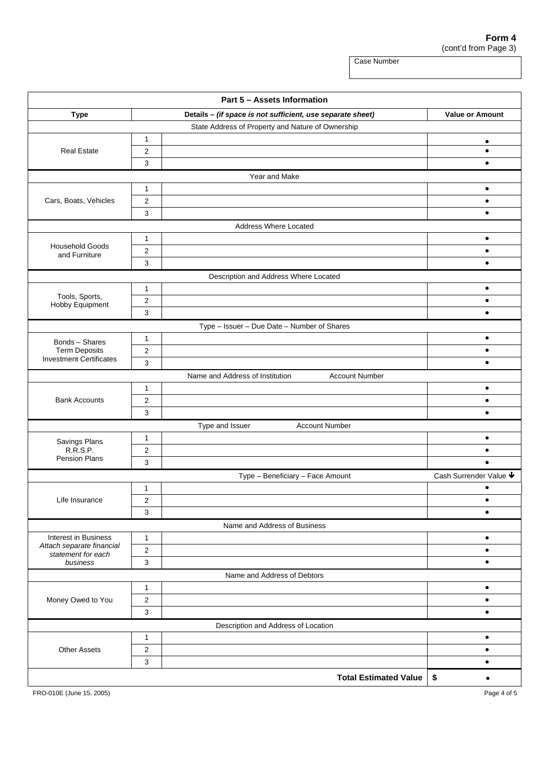**Form 4** (cont'd from Page 3)

Case Number

**Part 5 – Assets Information Type Details – (if space is not sufficient, use separate sheet) Value or Amount <b>V** State Address of Property and Nature of Ownership 1 **decision in the contract of the contract of the contract of the contract of the contract of the contract of** Real Estate 2 z  $3$   $\vert$ Year and Make 1 **d** Cars, Boats, Vehicles 2 2 2  $\bullet$  $3$   $\vert$ Address Where Located 1 **d** <sup>2</sup><sup>z</sup> Household Goods and Furniture  $3$   $\vert$   $\vert$ Description and Address Where Located 1 **d 1 d 1 d 1 d 1 d** Tools, Sports, The Communication of the Communication of the Communication of the Communication of the Communication of the Communication of the Communication of the Communication of the Communication of the Communication Hobby Equipment  $3$   $\vert$ Type – Issuer – Due Date – Number of Shares 1 **d** 2  $\vert$   $\vert$ Bonds – Shares Term Deposits<br>Investment Certificates Investment Certificates  $\frac{3}{3}$ Name and Address of Institution Account Number 1 **d** Bank Accounts [2 ] 2 ]  $3$   $\vert$   $\vert$ Type and Issuer **Account Number** 1 **d 1 d 1 d 1 d 1 d** 2  $\vert$   $\vert$ Savings Plans R.R.S.P.<br>Pension Plans Pension Plans 3 <sup>z</sup> Type – Beneficiary – Face Amount  $\overline{$  Cash Surrender Value  $\overline{\mathbf{\Psi}}$ 1 **d** Life Insurance 2 z  $3$   $\vert$ Name and Address of Business 1 **d** 2  $\vert$   $\vert$ Interest in Business *Attach separate financial statement for each business* 3 z Name and Address of Debtors 1 **d** Money Owed to You 2 z  $3$   $\vert$ Description and Address of Location 1 **d** Other Assets 2 z  $3$   $\vert$ **Total Estimated Value | \$** 

FRO-010E (June 15, 2005) Page 4 of 5